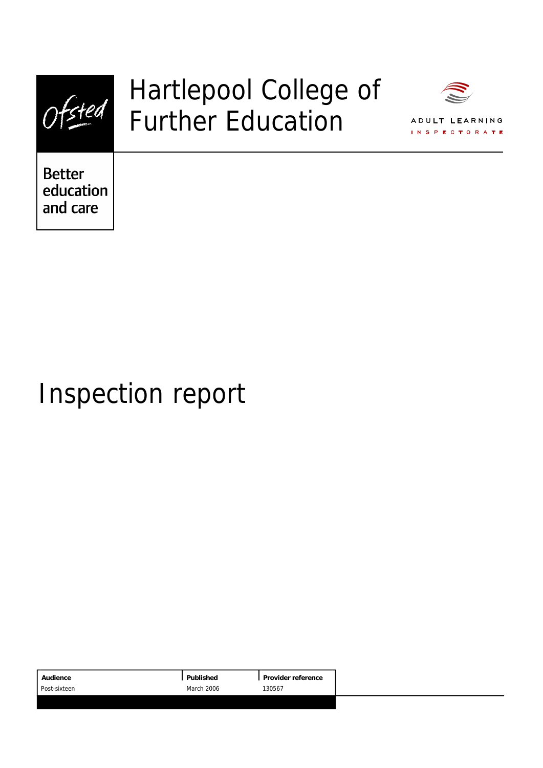

## Hartlepool College of Further Education



ADULT LEARNING S.P.F.O TO PA

**Better** education and care

# Inspection report

|                      | Audience     | Published | Provider reference |
|----------------------|--------------|-----------|--------------------|
| March 2006<br>130567 | Post-sixteen |           |                    |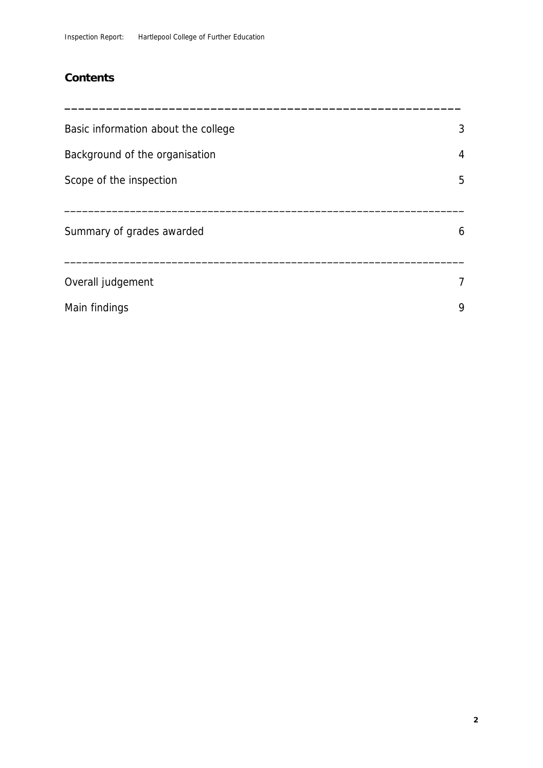## **Contents**

| Basic information about the college | 3              |
|-------------------------------------|----------------|
| Background of the organisation      | $\overline{4}$ |
| Scope of the inspection             | 5              |
| Summary of grades awarded           | 6              |
| Overall judgement                   | $\overline{7}$ |
| Main findings                       | 9              |

**\_\_\_\_\_\_\_\_\_\_\_\_\_\_\_\_\_\_\_\_\_\_\_\_\_\_\_\_\_\_\_\_\_\_\_\_\_\_\_\_\_\_\_\_\_\_\_\_\_\_\_\_\_\_\_\_\_**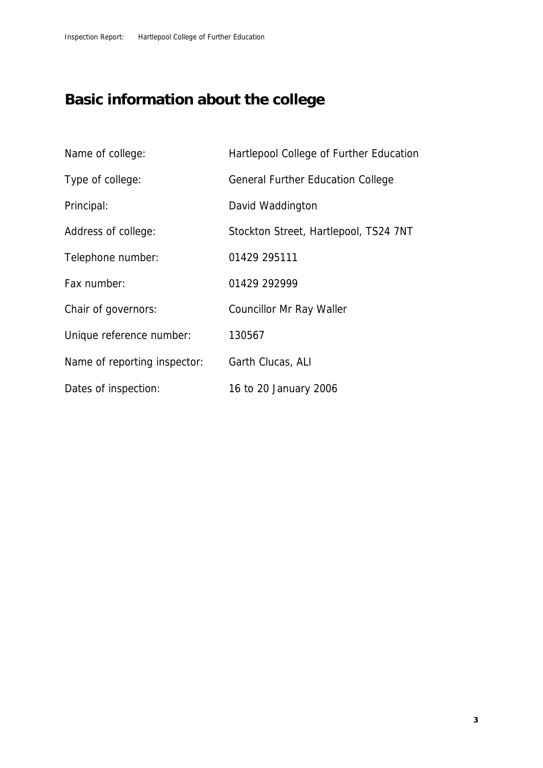## **Basic information about the college**

| Name of college:             | Hartlepool College of Further Education  |
|------------------------------|------------------------------------------|
| Type of college:             | <b>General Further Education College</b> |
| Principal:                   | David Waddington                         |
| Address of college:          | Stockton Street, Hartlepool, TS24 7NT    |
| Telephone number:            | 01429 295111                             |
| Fax number:                  | 01429 292999                             |
| Chair of governors:          | Councillor Mr Ray Waller                 |
| Unique reference number:     | 130567                                   |
| Name of reporting inspector: | Garth Clucas, ALI                        |
| Dates of inspection:         | 16 to 20 January 2006                    |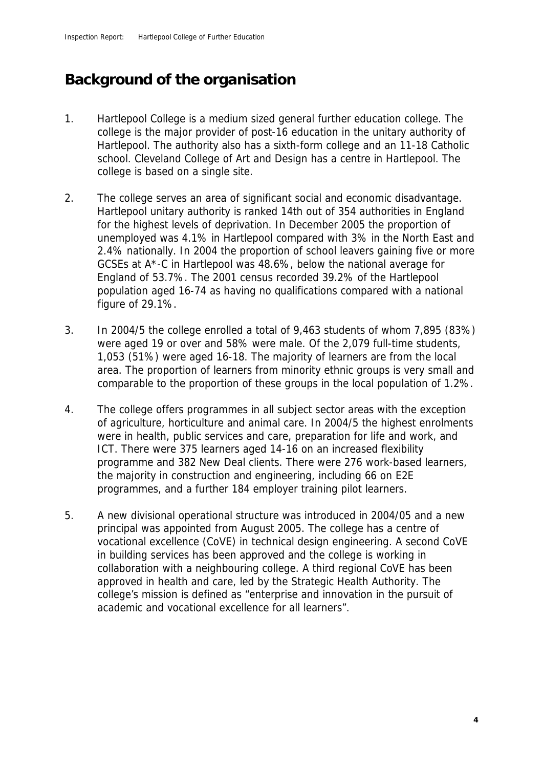## **Background of the organisation**

- 1. Hartlepool College is a medium sized general further education college. The college is the major provider of post-16 education in the unitary authority of Hartlepool. The authority also has a sixth-form college and an 11-18 Catholic school. Cleveland College of Art and Design has a centre in Hartlepool. The college is based on a single site.
- 2. The college serves an area of significant social and economic disadvantage. Hartlepool unitary authority is ranked 14th out of 354 authorities in England for the highest levels of deprivation. In December 2005 the proportion of unemployed was 4.1% in Hartlepool compared with 3% in the North East and 2.4% nationally. In 2004 the proportion of school leavers gaining five or more GCSEs at A\*-C in Hartlepool was 48.6%, below the national average for England of 53.7%. The 2001 census recorded 39.2% of the Hartlepool population aged 16-74 as having no qualifications compared with a national figure of 29.1%.
- 3. In 2004/5 the college enrolled a total of 9,463 students of whom 7,895 (83%) were aged 19 or over and 58% were male. Of the 2,079 full-time students, 1,053 (51%) were aged 16-18. The majority of learners are from the local area. The proportion of learners from minority ethnic groups is very small and comparable to the proportion of these groups in the local population of 1.2%.
- 4. The college offers programmes in all subject sector areas with the exception of agriculture, horticulture and animal care. In 2004/5 the highest enrolments were in health, public services and care, preparation for life and work, and ICT. There were 375 learners aged 14-16 on an increased flexibility programme and 382 New Deal clients. There were 276 work-based learners, the majority in construction and engineering, including 66 on E2E programmes, and a further 184 employer training pilot learners.
- 5. A new divisional operational structure was introduced in 2004/05 and a new principal was appointed from August 2005. The college has a centre of vocational excellence (CoVE) in technical design engineering. A second CoVE in building services has been approved and the college is working in collaboration with a neighbouring college. A third regional CoVE has been approved in health and care, led by the Strategic Health Authority. The college's mission is defined as "enterprise and innovation in the pursuit of academic and vocational excellence for all learners".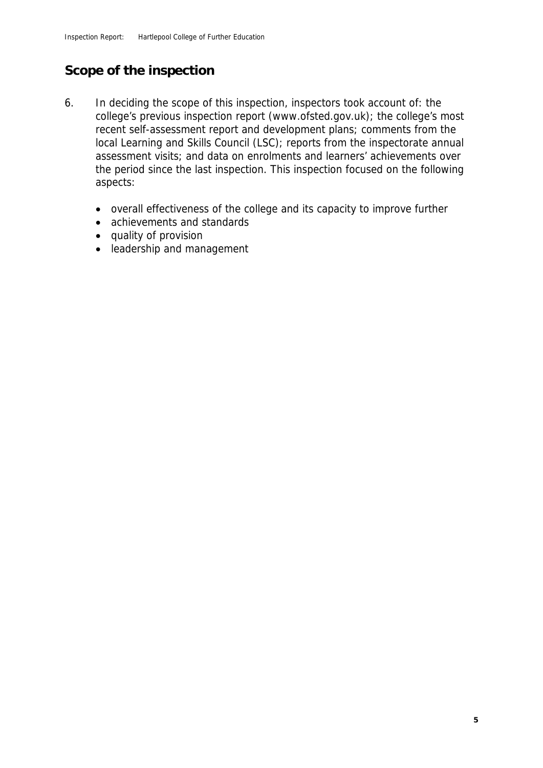### **Scope of the inspection**

- 6. In deciding the scope of this inspection, inspectors took account of: the college's previous inspection report (www.ofsted.gov.uk); the college's most recent self-assessment report and development plans; comments from the local Learning and Skills Council (LSC); reports from the inspectorate annual assessment visits; and data on enrolments and learners' achievements over the period since the last inspection. This inspection focused on the following aspects:
	- overall effectiveness of the college and its capacity to improve further
	- achievements and standards
	- quality of provision
	- leadership and management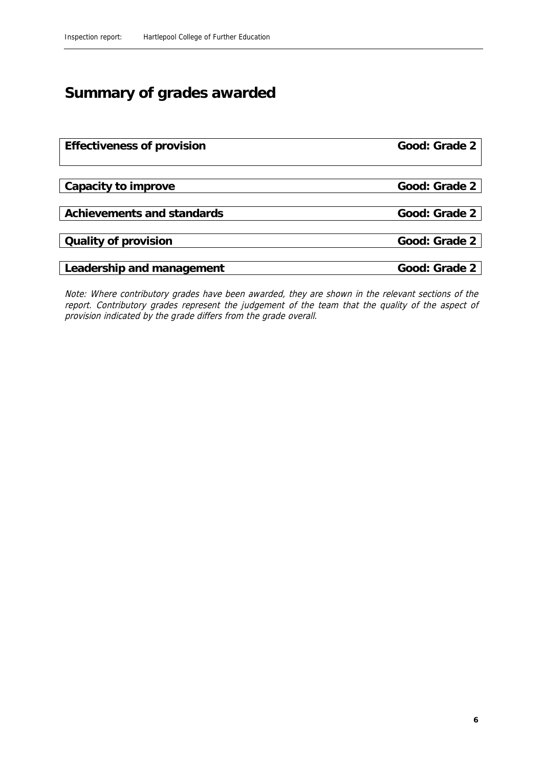## **Summary of grades awarded**

| Effectiveness of provision | Good: Grade 2 |
|----------------------------|---------------|
|                            |               |
|                            |               |
| Capacity to improve        | Good: Grade 2 |
|                            |               |
| Achievements and standards | Good: Grade 2 |
|                            |               |
| Quality of provision       | Good: Grade 2 |
|                            |               |
| Leadership and management  | Good: Grade 2 |

Note: Where contributory grades have been awarded, they are shown in the relevant sections of the report. Contributory grades represent the judgement of the team that the quality of the aspect of provision indicated by the grade differs from the grade overall.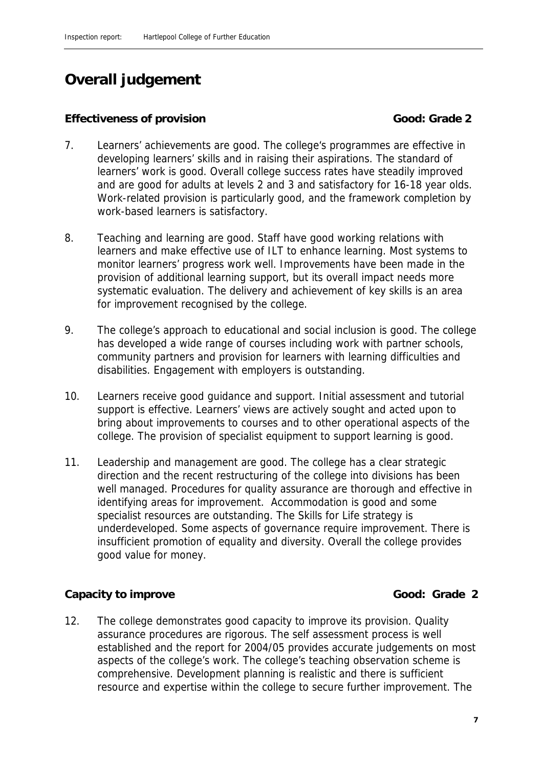## **Overall judgement**

#### **Effectiveness of provision Good: Grade 2**

- 7. Learners' achievements are good. The college's programmes are effective in developing learners' skills and in raising their aspirations. The standard of learners' work is good. Overall college success rates have steadily improved and are good for adults at levels 2 and 3 and satisfactory for 16-18 year olds. Work-related provision is particularly good, and the framework completion by work-based learners is satisfactory.
- 8. Teaching and learning are good. Staff have good working relations with learners and make effective use of ILT to enhance learning. Most systems to monitor learners' progress work well. Improvements have been made in the provision of additional learning support, but its overall impact needs more systematic evaluation. The delivery and achievement of key skills is an area for improvement recognised by the college.
- 9. The college's approach to educational and social inclusion is good. The college has developed a wide range of courses including work with partner schools, community partners and provision for learners with learning difficulties and disabilities. Engagement with employers is outstanding.
- 10. Learners receive good guidance and support. Initial assessment and tutorial support is effective. Learners' views are actively sought and acted upon to bring about improvements to courses and to other operational aspects of the college. The provision of specialist equipment to support learning is good.
- 11. Leadership and management are good. The college has a clear strategic direction and the recent restructuring of the college into divisions has been well managed. Procedures for quality assurance are thorough and effective in identifying areas for improvement. Accommodation is good and some specialist resources are outstanding. The Skills for Life strategy is underdeveloped. Some aspects of governance require improvement. There is insufficient promotion of equality and diversity. Overall the college provides good value for money.

#### **Capacity to improve Good: Grade 2**

12. The college demonstrates good capacity to improve its provision. Quality assurance procedures are rigorous. The self assessment process is well established and the report for 2004/05 provides accurate judgements on most aspects of the college's work. The college's teaching observation scheme is comprehensive. Development planning is realistic and there is sufficient resource and expertise within the college to secure further improvement. The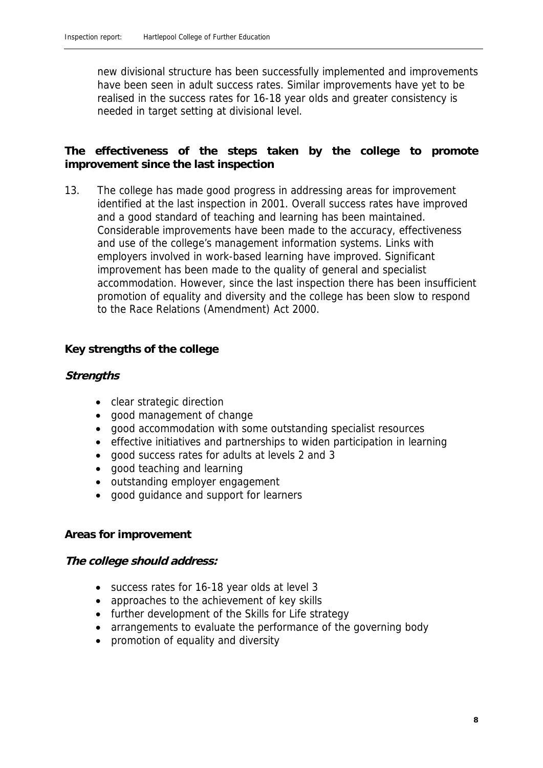new divisional structure has been successfully implemented and improvements have been seen in adult success rates. Similar improvements have yet to be realised in the success rates for 16-18 year olds and greater consistency is needed in target setting at divisional level.

**The effectiveness of the steps taken by the college to promote improvement since the last inspection**

13. The college has made good progress in addressing areas for improvement identified at the last inspection in 2001. Overall success rates have improved and a good standard of teaching and learning has been maintained. Considerable improvements have been made to the accuracy, effectiveness and use of the college's management information systems. Links with employers involved in work-based learning have improved. Significant improvement has been made to the quality of general and specialist accommodation. However, since the last inspection there has been insufficient promotion of equality and diversity and the college has been slow to respond to the Race Relations (Amendment) Act 2000.

#### **Key strengths of the college**

#### **Strengths**

- clear strategic direction
- good management of change
- good accommodation with some outstanding specialist resources
- effective initiatives and partnerships to widen participation in learning
- good success rates for adults at levels 2 and 3
- good teaching and learning
- outstanding employer engagement
- good guidance and support for learners

#### **Areas for improvement**

**The college should address:**

- success rates for 16-18 year olds at level 3
- approaches to the achievement of key skills
- further development of the Skills for Life strategy
- arrangements to evaluate the performance of the governing body
- promotion of equality and diversity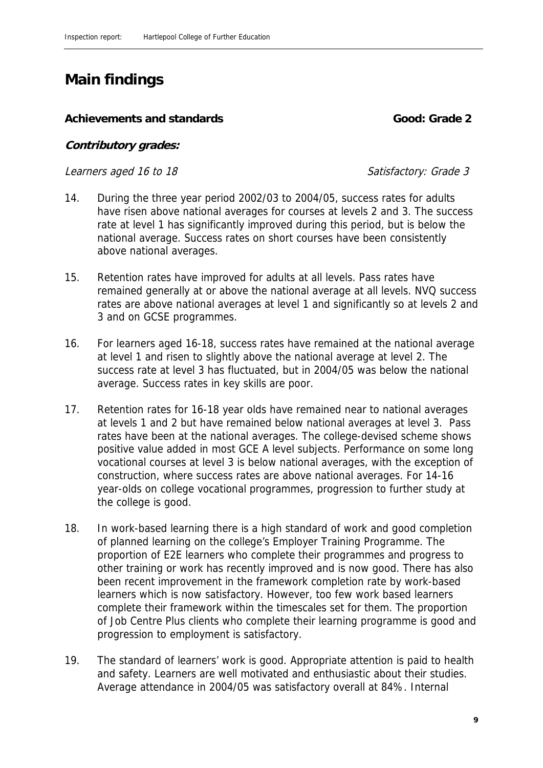## **Main findings**

#### Achievements and standards **Cooperation Cooperation** Good: Grade 2

**Contributory grades:** 

Learners aged 16 to 18 Satisfactory: Grade 3

- 14. During the three year period 2002/03 to 2004/05, success rates for adults have risen above national averages for courses at levels 2 and 3. The success rate at level 1 has significantly improved during this period, but is below the national average. Success rates on short courses have been consistently above national averages.
- 15. Retention rates have improved for adults at all levels. Pass rates have remained generally at or above the national average at all levels. NVQ success rates are above national averages at level 1 and significantly so at levels 2 and 3 and on GCSE programmes.
- 16. For learners aged 16-18, success rates have remained at the national average at level 1 and risen to slightly above the national average at level 2. The success rate at level 3 has fluctuated, but in 2004/05 was below the national average. Success rates in key skills are poor.
- 17. Retention rates for 16-18 year olds have remained near to national averages at levels 1 and 2 but have remained below national averages at level 3. Pass rates have been at the national averages. The college-devised scheme shows positive value added in most GCE A level subjects. Performance on some long vocational courses at level 3 is below national averages, with the exception of construction, where success rates are above national averages. For 14-16 year-olds on college vocational programmes, progression to further study at the college is good.
- 18. In work-based learning there is a high standard of work and good completion of planned learning on the college's Employer Training Programme. The proportion of E2E learners who complete their programmes and progress to other training or work has recently improved and is now good. There has also been recent improvement in the framework completion rate by work-based learners which is now satisfactory. However, too few work based learners complete their framework within the timescales set for them. The proportion of Job Centre Plus clients who complete their learning programme is good and progression to employment is satisfactory.
- 19. The standard of learners' work is good. Appropriate attention is paid to health and safety. Learners are well motivated and enthusiastic about their studies. Average attendance in 2004/05 was satisfactory overall at 84%. Internal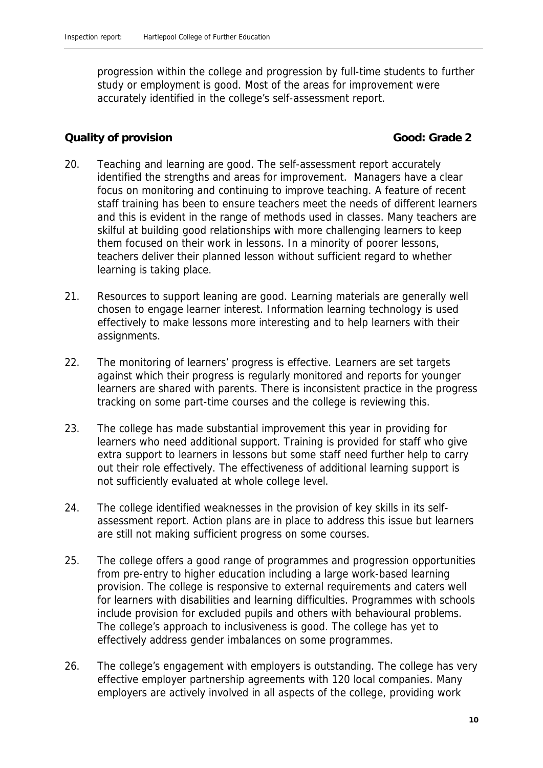progression within the college and progression by full-time students to further study or employment is good. Most of the areas for improvement were accurately identified in the college's self-assessment report.

#### **Cauality of provision Good: Grade 2**

- 20. Teaching and learning are good. The self-assessment report accurately identified the strengths and areas for improvement. Managers have a clear focus on monitoring and continuing to improve teaching. A feature of recent staff training has been to ensure teachers meet the needs of different learners and this is evident in the range of methods used in classes. Many teachers are skilful at building good relationships with more challenging learners to keep them focused on their work in lessons. In a minority of poorer lessons, teachers deliver their planned lesson without sufficient regard to whether learning is taking place.
- 21. Resources to support leaning are good. Learning materials are generally well chosen to engage learner interest. Information learning technology is used effectively to make lessons more interesting and to help learners with their assignments.
- 22. The monitoring of learners' progress is effective. Learners are set targets against which their progress is regularly monitored and reports for younger learners are shared with parents. There is inconsistent practice in the progress tracking on some part-time courses and the college is reviewing this.
- 23. The college has made substantial improvement this year in providing for learners who need additional support. Training is provided for staff who give extra support to learners in lessons but some staff need further help to carry out their role effectively. The effectiveness of additional learning support is not sufficiently evaluated at whole college level.
- 24. The college identified weaknesses in the provision of key skills in its selfassessment report. Action plans are in place to address this issue but learners are still not making sufficient progress on some courses.
- 25. The college offers a good range of programmes and progression opportunities from pre-entry to higher education including a large work-based learning provision. The college is responsive to external requirements and caters well for learners with disabilities and learning difficulties. Programmes with schools include provision for excluded pupils and others with behavioural problems. The college's approach to inclusiveness is good. The college has yet to effectively address gender imbalances on some programmes.
- 26. The college's engagement with employers is outstanding. The college has very effective employer partnership agreements with 120 local companies. Many employers are actively involved in all aspects of the college, providing work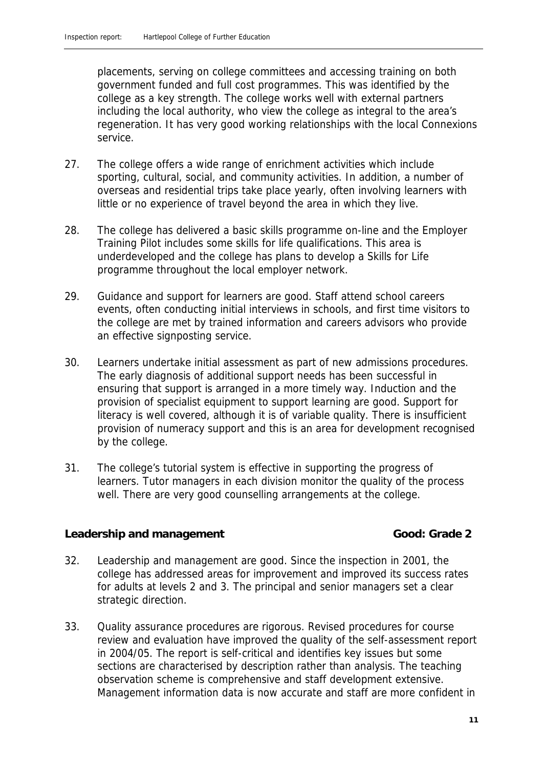placements, serving on college committees and accessing training on both government funded and full cost programmes. This was identified by the college as a key strength. The college works well with external partners including the local authority, who view the college as integral to the area's regeneration. It has very good working relationships with the local Connexions service.

- 27. The college offers a wide range of enrichment activities which include sporting, cultural, social, and community activities. In addition, a number of overseas and residential trips take place yearly, often involving learners with little or no experience of travel beyond the area in which they live.
- 28. The college has delivered a basic skills programme on-line and the Employer Training Pilot includes some skills for life qualifications. This area is underdeveloped and the college has plans to develop a Skills for Life programme throughout the local employer network.
- 29. Guidance and support for learners are good. Staff attend school careers events, often conducting initial interviews in schools, and first time visitors to the college are met by trained information and careers advisors who provide an effective signposting service.
- 30. Learners undertake initial assessment as part of new admissions procedures. The early diagnosis of additional support needs has been successful in ensuring that support is arranged in a more timely way. Induction and the provision of specialist equipment to support learning are good. Support for literacy is well covered, although it is of variable quality. There is insufficient provision of numeracy support and this is an area for development recognised by the college.
- 31. The college's tutorial system is effective in supporting the progress of learners. Tutor managers in each division monitor the quality of the process well. There are very good counselling arrangements at the college.

#### Leadership and management **Cool Good:** Grade 2

- 32. Leadership and management are good. Since the inspection in 2001, the college has addressed areas for improvement and improved its success rates for adults at levels 2 and 3. The principal and senior managers set a clear strategic direction.
- 33. Quality assurance procedures are rigorous. Revised procedures for course review and evaluation have improved the quality of the self-assessment report in 2004/05. The report is self-critical and identifies key issues but some sections are characterised by description rather than analysis. The teaching observation scheme is comprehensive and staff development extensive. Management information data is now accurate and staff are more confident in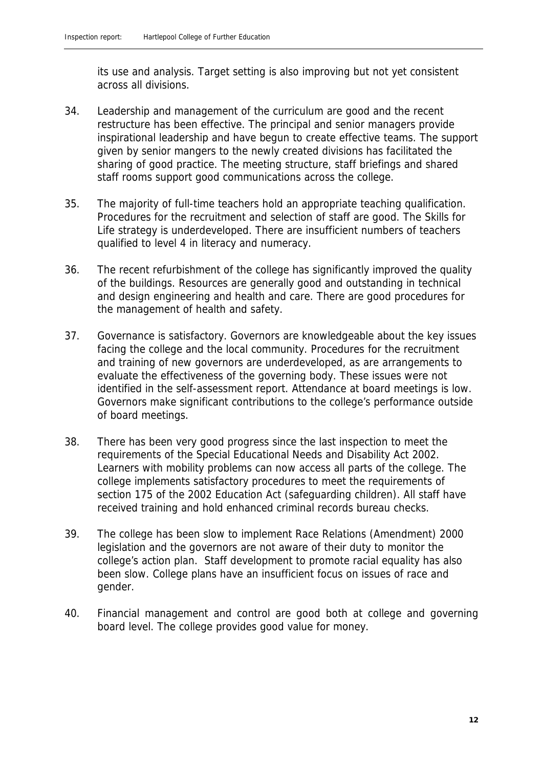its use and analysis. Target setting is also improving but not yet consistent across all divisions.

- 34. Leadership and management of the curriculum are good and the recent restructure has been effective. The principal and senior managers provide inspirational leadership and have begun to create effective teams. The support given by senior mangers to the newly created divisions has facilitated the sharing of good practice. The meeting structure, staff briefings and shared staff rooms support good communications across the college.
- 35. The majority of full-time teachers hold an appropriate teaching qualification. Procedures for the recruitment and selection of staff are good. The Skills for Life strategy is underdeveloped. There are insufficient numbers of teachers qualified to level 4 in literacy and numeracy.
- 36. The recent refurbishment of the college has significantly improved the quality of the buildings. Resources are generally good and outstanding in technical and design engineering and health and care. There are good procedures for the management of health and safety.
- 37. Governance is satisfactory. Governors are knowledgeable about the key issues facing the college and the local community. Procedures for the recruitment and training of new governors are underdeveloped, as are arrangements to evaluate the effectiveness of the governing body. These issues were not identified in the self-assessment report. Attendance at board meetings is low. Governors make significant contributions to the college's performance outside of board meetings.
- 38. There has been very good progress since the last inspection to meet the requirements of the Special Educational Needs and Disability Act 2002. Learners with mobility problems can now access all parts of the college. The college implements satisfactory procedures to meet the requirements of section 175 of the 2002 Education Act (safeguarding children). All staff have received training and hold enhanced criminal records bureau checks.
- 39. The college has been slow to implement Race Relations (Amendment) 2000 legislation and the governors are not aware of their duty to monitor the college's action plan. Staff development to promote racial equality has also been slow. College plans have an insufficient focus on issues of race and gender.
- 40. Financial management and control are good both at college and governing board level. The college provides good value for money.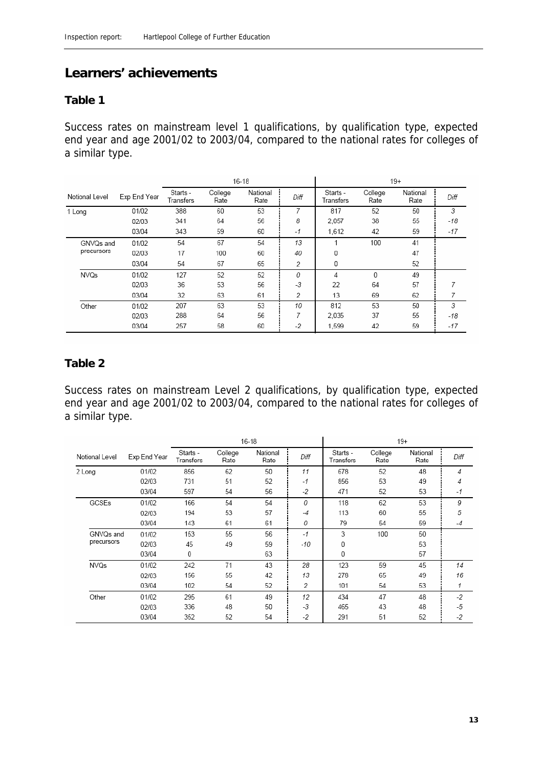### **Learners' achievements**

#### **Table 1**

Success rates on mainstream level 1 qualifications, by qualification type, expected end year and age 2001/02 to 2003/04, compared to the national rates for colleges of a similar type.

|                |              | $16 - 18$             |                 |                  |      | $19+$                 |                 |                  |       |
|----------------|--------------|-----------------------|-----------------|------------------|------|-----------------------|-----------------|------------------|-------|
| Notional Level | Exp End Year | Starts -<br>Transfers | College<br>Rate | National<br>Rate | Diff | Starts -<br>Transfers | College<br>Rate | National<br>Rate | Diff  |
| 1 Long         | 01/02        | 388                   | 60              | 53               |      | 817                   | 52              | 50               | 3     |
|                | 02/03        | 341                   | 64              | 56               | 8    | 2,057                 | 38              | 55               | -18   |
|                | 03/04        | 343                   | 59              | 60               | $-1$ | 1.612                 | 42              | 59               | $-17$ |
| GNVQs and      | 01/02        | 54                    | 67              | 54               | 13   |                       | 100             | 41               |       |
| precursors     | 02/03        | 17                    | 100             | 60               | 40   | 0                     |                 | 47               |       |
|                | 03/04        | 54                    | 67              | 65               | 2    | 0                     |                 | 52               |       |
| <b>NVQs</b>    | 01/02        | 127                   | 52              | 52               | 0    | 4                     | 0               | 49               |       |
|                | 02/03        | 36                    | 53              | 56               | $-3$ | 22                    | 64              | 57               |       |
|                | 03/04        | 32                    | 63              | 61               | 2    | 13                    | 69              | 62               |       |
| Other          | 01/02        | 207                   | 63              | 53               | 10   | 812                   | 53              | 50               | 3     |
|                | 02/03        | 288                   | 64              | 56               | 7    | 2.035                 | 37              | 55               | -18   |
|                | 03/04        | 257                   | 58              | 60               | $-2$ | 1.599                 | 42              | 59               | -17   |

#### **Table 2**

Success rates on mainstream Level 2 qualifications, by qualification type, expected end year and age 2001/02 to 2003/04, compared to the national rates for colleges of a similar type.

|                |              |                       | $16 - 18$       |                  |      | $19+$                 |                 |                  |      |
|----------------|--------------|-----------------------|-----------------|------------------|------|-----------------------|-----------------|------------------|------|
| Notional Level | Exp End Year | Starts -<br>Transfers | College<br>Rate | National<br>Rate | Diff | Starts -<br>Transfers | College<br>Rate | National<br>Rate | Diff |
| 2 Long         | 01/02        | 856                   | 62              | 50               | 11   | 678                   | 52              | 48               | 4    |
|                | 02/03        | 731                   | 51              | 52               | $-1$ | 856                   | 53              | 49               | 4    |
|                | 03/04        | 597                   | 54              | 56               | $-2$ | 471                   | 52              | 53               | $-1$ |
| GCSEs          | 01/02        | 166                   | 54              | 54               | 0    | 118                   | 62              | 53               | 9    |
|                | 02/03        | 194                   | 53              | 57               | $-4$ | 113                   | 60              | 55               | 5    |
|                | 03/04        | 143                   | 61              | 61               | 0    | 79                    | 54              | 59               | -4   |
| GNVQs and      | 01/02        | 153                   | 55              | 56               | $-1$ | 3                     | 100             | 50               |      |
| precursors     | 02/03        | 45                    | 49              | 59               | -10  | 0                     |                 | 53               |      |
|                | 03/04        | 0                     |                 | 63               |      | 0                     |                 | 57               |      |
| <b>NVQs</b>    | 01/02        | 242                   | 71              | 43               | 28   | 123                   | 59              | 45               | 14   |
|                | 02/03        | 156                   | 55              | 42               | 13   | 278                   | 65              | 49               | 16   |
|                | 03/04        | 102                   | 54              | 52               | 2    | 101                   | 54              | 53               | 1    |
| Other          | 01/02        | 295                   | 61              | 49               | 12   | 434                   | 47              | 48               | $-2$ |
|                | 02/03        | 336                   | 48              | 50               | $-3$ | 465                   | 43              | 48               | $-5$ |
|                | 03/04        | 352                   | 52              | 54               | -2   | 291                   | 51              | 52               | $-2$ |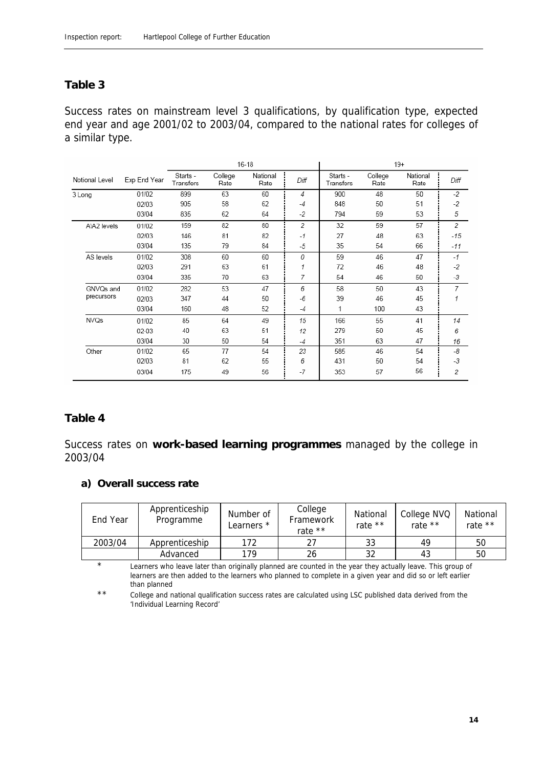#### **Table 3**

Success rates on mainstream level 3 qualifications, by qualification type, expected end year and age 2001/02 to 2003/04, compared to the national rates for colleges of a similar type.

|                |              |                       |                 | $16 - 18$        |      |                       |                 | $19+$            |       |
|----------------|--------------|-----------------------|-----------------|------------------|------|-----------------------|-----------------|------------------|-------|
| Notional Level | Exp End Year | Starts -<br>Transfers | College<br>Rate | National<br>Rate | Diff | Starts -<br>Transfers | College<br>Rate | National<br>Rate | Diff  |
| 3 Long         | 01/02        | 899                   | 63              | 60               | 4    | 900                   | 48              | 50               | $-2$  |
|                | 02/03        | 905                   | 58              | 62               | -4   | 848                   | 50              | 51               | $-2$  |
|                | 03/04        | 835                   | 62              | 64               | -2   | 794                   | 59              | 53               | 5     |
| A\A2 levels    | 01/02        | 159                   | 82              | 80               | 2    | 32                    | 59              | 57               | 2     |
|                | 02/03        | 146                   | 81              | 82               | $-1$ | 27                    | 48              | 63               | $-15$ |
|                | 03/04        | 135                   | 79              | 84               | $-5$ | 35                    | 54              | 66               | -11   |
| AS levels      | 01/02        | 308                   | 60              | 60               | 0    | 59                    | 46              | 47               | $-1$  |
|                | 02/03        | 291                   | 63              | 61               | 1    | 72                    | 46              | 48               | -2    |
|                | 03/04        | 335                   | 70              | 63               | 7    | 54                    | 46              | 50               | $-3$  |
| GNVQs and      | 01/02        | 282                   | 53              | 47               | 6    | 58                    | 50              | 43               | 7     |
| precursors     | 02/03        | 347                   | 44              | 50               | $-6$ | 39                    | 46              | 45               | 1     |
|                | 03/04        | 160                   | 48              | 52               | -4   | 1                     | 100             | 43               |       |
| <b>NVQs</b>    | 01/02        | 85                    | 64              | 49               | 15   | 166                   | 55              | 41               | 14    |
|                | 02-03        | 40                    | 63              | 51               | 12   | 279                   | 50              | 45               | 6     |
|                | 03/04        | 30                    | 50              | 54               | $-4$ | 351                   | 63              | 47               | 16    |
| Other          | 01/02        | 65                    | 77              | 54               | 23   | 585                   | 46              | 54               | -8    |
|                | 02/03        | 81                    | 62              | 55               | 6    | 431                   | 50              | 54               | -3    |
|                | 03/04        | 175                   | 49              | 56               | -7   | 353                   | 57              | 56               | 2     |

#### **Table 4**

Success rates on **work-based learning programmes** managed by the college in 2003/04

**a) Overall success rate**

| End Year | Apprenticeship<br>Programme | Number of<br>Learners * | College<br>Framework<br>rate $**$ | National<br>rate $**$ | College NVQ<br>rate ** | National<br>rate ** |
|----------|-----------------------------|-------------------------|-----------------------------------|-----------------------|------------------------|---------------------|
| 2003/04  | Apprenticeship              | 172                     | 27                                | 33                    | 49                     | 50                  |
|          | Advanced                    | 179                     | 26                                | つつ                    | 43                     | 50                  |

\* Learners who leave later than originally planned are counted in the year they actually leave. This group of learners are then added to the learners who planned to complete in a given year and did so or left earlier than planned

\*\* College and national qualification success rates are calculated using LSC published data derived from the 'Individual Learning Record'